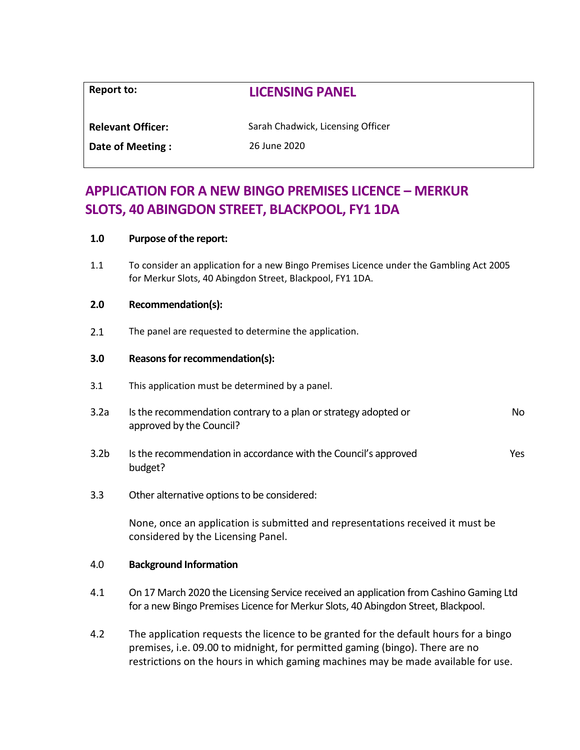| Report to:               | <b>LICENSING PANEL</b>            |
|--------------------------|-----------------------------------|
| <b>Relevant Officer:</b> | Sarah Chadwick, Licensing Officer |
| Date of Meeting:         | 26 June 2020                      |

# **APPLICATION FOR A NEW BINGO PREMISES LICENCE – MERKUR SLOTS, 40 ABINGDON STREET, BLACKPOOL, FY1 1DA**

### **1.0 Purpose of the report:**

1.1 To consider an application for a new Bingo Premises Licence under the Gambling Act 2005 for Merkur Slots, 40 Abingdon Street, Blackpool, FY1 1DA.

#### **2.0 Recommendation(s):**

2.1 The panel are requested to determine the application.

### **3.0 Reasons for recommendation(s):**

- 3.1 This application must be determined by a panel.
- 3.2a Is the recommendation contrary to a plan or strategy adopted or approved by the Council? No
- 3.2b Is the recommendation in accordance with the Council's approved budget? Yes
- 3.3 Other alternative options to be considered:

None, once an application is submitted and representations received it must be considered by the Licensing Panel.

### 4.0 **Background Information**

- 4.1 On 17 March 2020 the Licensing Service received an application from Cashino Gaming Ltd for a new Bingo Premises Licence for Merkur Slots, 40 Abingdon Street, Blackpool.
- 4.2 The application requests the licence to be granted for the default hours for a bingo premises, i.e. 09.00 to midnight, for permitted gaming (bingo). There are no restrictions on the hours in which gaming machines may be made available for use.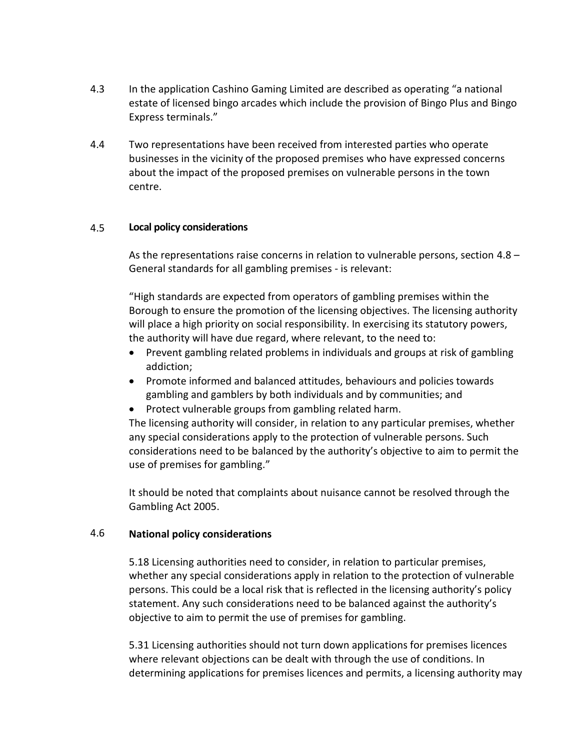- 4.3 In the application Cashino Gaming Limited are described as operating "a national estate of licensed bingo arcades which include the provision of Bingo Plus and Bingo Express terminals."
- 4.4 Two representations have been received from interested parties who operate businesses in the vicinity of the proposed premises who have expressed concerns about the impact of the proposed premises on vulnerable persons in the town centre.

#### 4.5 **Local policy considerations**

As the representations raise concerns in relation to vulnerable persons, section 4.8 – General standards for all gambling premises - is relevant:

"High standards are expected from operators of gambling premises within the Borough to ensure the promotion of the licensing objectives. The licensing authority will place a high priority on social responsibility. In exercising its statutory powers, the authority will have due regard, where relevant, to the need to:

- Prevent gambling related problems in individuals and groups at risk of gambling addiction;
- Promote informed and balanced attitudes, behaviours and policies towards gambling and gamblers by both individuals and by communities; and
- Protect vulnerable groups from gambling related harm.

The licensing authority will consider, in relation to any particular premises, whether any special considerations apply to the protection of vulnerable persons. Such considerations need to be balanced by the authority's objective to aim to permit the use of premises for gambling."

It should be noted that complaints about nuisance cannot be resolved through the Gambling Act 2005.

#### 4.6 **National policy considerations**

5.18 Licensing authorities need to consider, in relation to particular premises, whether any special considerations apply in relation to the protection of vulnerable persons. This could be a local risk that is reflected in the licensing authority's policy statement. Any such considerations need to be balanced against the authority's objective to aim to permit the use of premises for gambling.

5.31 Licensing authorities should not turn down applications for premises licences where relevant objections can be dealt with through the use of conditions. In determining applications for premises licences and permits, a licensing authority may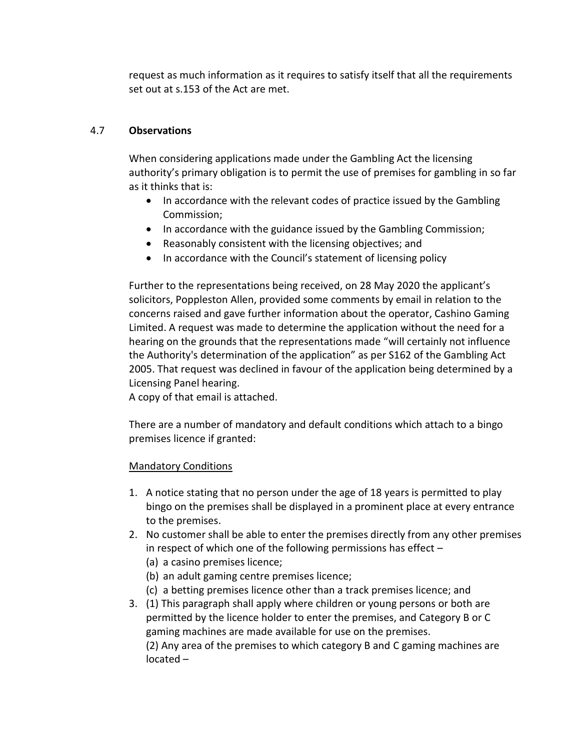request as much information as it requires to satisfy itself that all the requirements set out at s.153 of the Act are met.

#### 4.7 **Observations**

When considering applications made under the Gambling Act the licensing authority's primary obligation is to permit the use of premises for gambling in so far as it thinks that is:

- In accordance with the relevant codes of practice issued by the Gambling Commission;
- In accordance with the guidance issued by the Gambling Commission;
- Reasonably consistent with the licensing objectives; and
- In accordance with the Council's statement of licensing policy

Further to the representations being received, on 28 May 2020 the applicant's solicitors, Poppleston Allen, provided some comments by email in relation to the concerns raised and gave further information about the operator, Cashino Gaming Limited. A request was made to determine the application without the need for a hearing on the grounds that the representations made "will certainly not influence the Authority's determination of the application" as per S162 of the Gambling Act 2005. That request was declined in favour of the application being determined by a Licensing Panel hearing.

A copy of that email is attached.

There are a number of mandatory and default conditions which attach to a bingo premises licence if granted:

# Mandatory Conditions

- 1. A notice stating that no person under the age of 18 years is permitted to play bingo on the premises shall be displayed in a prominent place at every entrance to the premises.
- 2. No customer shall be able to enter the premises directly from any other premises in respect of which one of the following permissions has effect –
	- (a) a casino premises licence;
	- (b) an adult gaming centre premises licence;
	- (c) a betting premises licence other than a track premises licence; and
- 3. (1) This paragraph shall apply where children or young persons or both are permitted by the licence holder to enter the premises, and Category B or C gaming machines are made available for use on the premises.

(2) Any area of the premises to which category B and C gaming machines are located –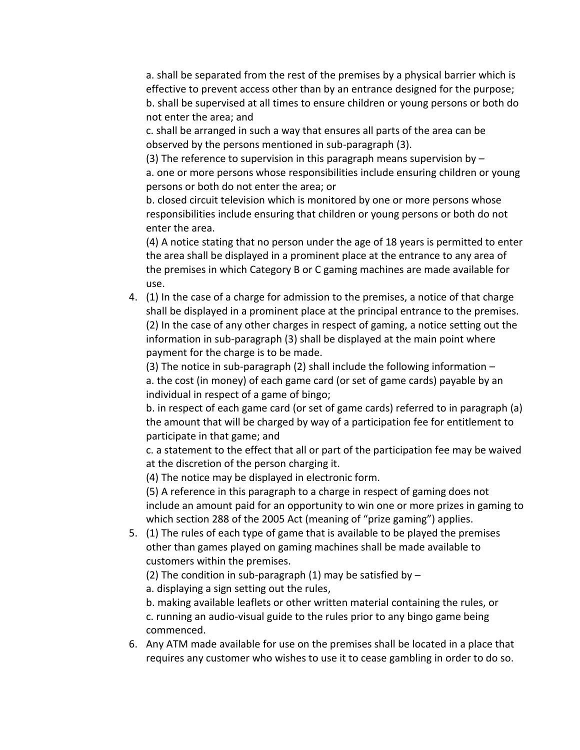a. shall be separated from the rest of the premises by a physical barrier which is effective to prevent access other than by an entrance designed for the purpose; b. shall be supervised at all times to ensure children or young persons or both do not enter the area; and

c. shall be arranged in such a way that ensures all parts of the area can be observed by the persons mentioned in sub-paragraph (3).

(3) The reference to supervision in this paragraph means supervision by  $$ a. one or more persons whose responsibilities include ensuring children or young persons or both do not enter the area; or

b. closed circuit television which is monitored by one or more persons whose responsibilities include ensuring that children or young persons or both do not enter the area.

(4) A notice stating that no person under the age of 18 years is permitted to enter the area shall be displayed in a prominent place at the entrance to any area of the premises in which Category B or C gaming machines are made available for use.

4. (1) In the case of a charge for admission to the premises, a notice of that charge shall be displayed in a prominent place at the principal entrance to the premises. (2) In the case of any other charges in respect of gaming, a notice setting out the information in sub-paragraph (3) shall be displayed at the main point where payment for the charge is to be made.

(3) The notice in sub-paragraph (2) shall include the following information – a. the cost (in money) of each game card (or set of game cards) payable by an individual in respect of a game of bingo;

b. in respect of each game card (or set of game cards) referred to in paragraph (a) the amount that will be charged by way of a participation fee for entitlement to participate in that game; and

c. a statement to the effect that all or part of the participation fee may be waived at the discretion of the person charging it.

(4) The notice may be displayed in electronic form.

(5) A reference in this paragraph to a charge in respect of gaming does not include an amount paid for an opportunity to win one or more prizes in gaming to which section 288 of the 2005 Act (meaning of "prize gaming") applies.

5. (1) The rules of each type of game that is available to be played the premises other than games played on gaming machines shall be made available to customers within the premises.

(2) The condition in sub-paragraph (1) may be satisfied by  $-$ 

a. displaying a sign setting out the rules,

b. making available leaflets or other written material containing the rules, or c. running an audio-visual guide to the rules prior to any bingo game being commenced.

6. Any ATM made available for use on the premises shall be located in a place that requires any customer who wishes to use it to cease gambling in order to do so.